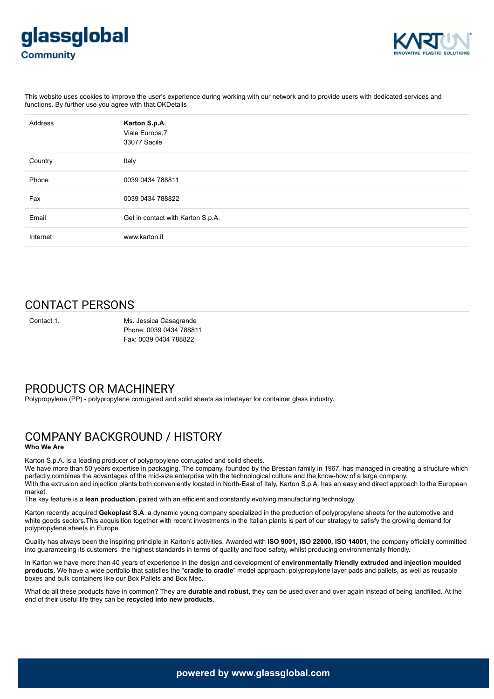



This website uses cookies to improve the user's experience during working with our network and to provide users with dedicated services and functions. By further use you agree with that.OKDetails

| Address  | Karton S.p.A.<br>Viale Europa, 7<br>33077 Sacile |
|----------|--------------------------------------------------|
| Country  | Italy                                            |
| Phone    | 0039 0434 788811                                 |
| Fax      | 0039 0434 788822                                 |
| Email    | Get in contact with Karton S.p.A.                |
| Internet | www.karton.it                                    |

# CONTACT PERSONS

Contact 1. Ms. Jessica Casagrande Phone: 0039 0434 788811 Fax: 0039 0434 788822

## PRODUCTS OR MACHINERY

Polypropylene (PP) - polypropylene corrugated and solid sheets as interlayer for container glass industry.

## COMPANY BACKGROUND / HISTORY **Who We Are**

Karton S.p.A. is a leading producer of polypropylene corrugated and solid sheets.

We have more than 50 years expertise in packaging. The company, founded by the Bressan family in 1967, has managed in creating a structure which perfectly combines the advantages of the mid-size enterprise with the technological culture and the know-how of a large company. With the extrusion and injection plants both conveniently located in North-East of Italy, Karton S.p.A. has an easy and direct approach to the European market.

The key feature is a **lean production**, paired with an efficient and constantly evolving manufacturing technology.

Karton recently acquired **Gekoplast S.A**. a dynamic young company specialized in the production of polypropylene sheets for the automotive and white goods sectors.This acquisition together with recent investments in the Italian plants is part of our strategy to satisfy the growing demand for polypropylene sheets in Europe.

Quality has always been the inspiring principle in Karton's activities. Awarded with **ISO 9001, ISO 22000, ISO 14001**, the company officially committed into guaranteeing its customers the highest standards in terms of quality and food safety, whilst producing environmentally friendly.

In Karton we have more than 40 years of experience in the design and development of **environmentally friendly extruded and injection moulded products**. We have a wide portfolio that satisfies the "**cradle to cradle**" model approach: polypropylene layer pads and pallets, as well as reusable boxes and bulk containers like our Box Pallets and Box Mec.

What do all these products have in common? They are **durable and robust**, they can be used over and over again instead of being landfilled. At the end of their useful life they can be **recycled into new products**.